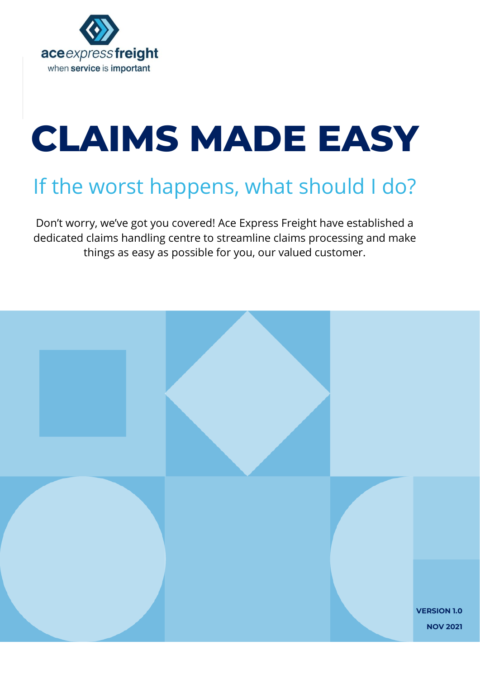

# **CLAIMS MADE EASY**

## If the worst happens, what should I do?

Don't worry, we've got you covered! Ace Express Freight have established a dedicated claims handling centre to streamline claims processing and make things as easy as possible for you, our valued customer.

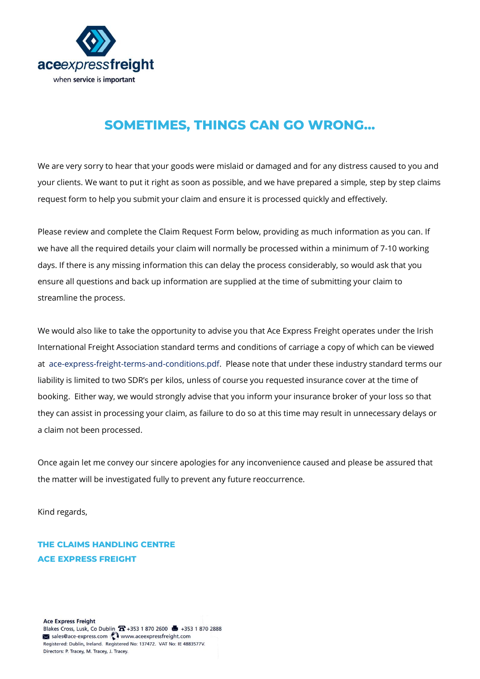

#### **SOMETIMES, THINGS CAN GO WRONG…**

We are very sorry to hear that your goods were mislaid or damaged and for any distress caused to you and your clients. We want to put it right as soon as possible, and we have prepared a simple, step by step claims request form to help you submit your claim and ensure it is processed quickly and effectively.

Please review and complete the Claim Request Form below, providing as much information as you can. If we have all the required details your claim will normally be processed within a minimum of 7-10 working days. If there is any missing information this can delay the process considerably, so would ask that you ensure all questions and back up information are supplied at the time of submitting your claim to streamline the process.

We would also like to take the opportunity to advise you that Ace Express Freight operates under the Irish International Freight Association standard terms and conditions of carriage a copy of which can be viewed at [ace-express-freight-terms-and-conditions.pdf.](about:blank) Please note that under these industry standard terms our liability is limited to two SDR's per kilos, unless of course you requested insurance cover at the time of booking. Either way, we would strongly advise that you inform your insurance broker of your loss so that they can assist in processing your claim, as failure to do so at this time may result in unnecessary delays or a claim not been processed.

Once again let me convey our sincere apologies for any inconvenience caused and please be assured that the matter will be investigated fully to prevent any future reoccurrence.

Kind regards,

**THE CLAIMS HANDLING CENTRE ACE EXPRESS FREIGHT**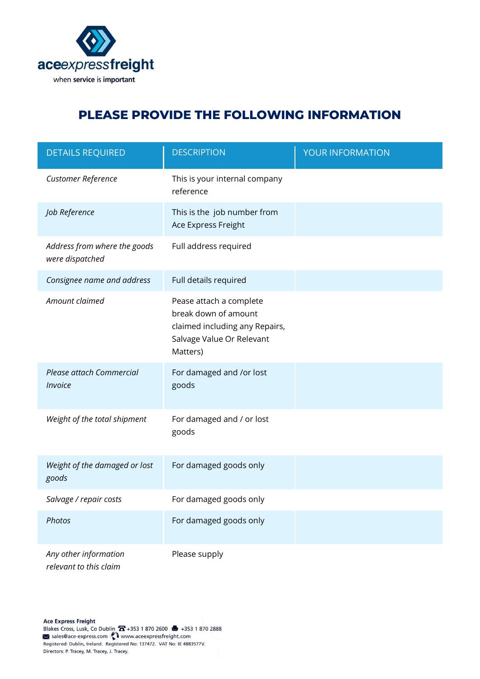

#### **PLEASE PROVIDE THE FOLLOWING INFORMATION**

| <b>DETAILS REQUIRED</b>                         | <b>DESCRIPTION</b>                                                                                                         | YOUR INFORMATION |
|-------------------------------------------------|----------------------------------------------------------------------------------------------------------------------------|------------------|
| Customer Reference                              | This is your internal company<br>reference                                                                                 |                  |
| Job Reference                                   | This is the job number from<br>Ace Express Freight                                                                         |                  |
| Address from where the goods<br>were dispatched | Full address required                                                                                                      |                  |
| Consignee name and address                      | Full details required                                                                                                      |                  |
| Amount claimed                                  | Pease attach a complete<br>break down of amount<br>claimed including any Repairs,<br>Salvage Value Or Relevant<br>Matters) |                  |
| Please attach Commercial<br><b>Invoice</b>      | For damaged and /or lost<br>goods                                                                                          |                  |
| Weight of the total shipment                    | For damaged and / or lost<br>goods                                                                                         |                  |
| Weight of the damaged or lost<br>goods          | For damaged goods only                                                                                                     |                  |
| Salvage / repair costs                          | For damaged goods only                                                                                                     |                  |
| Photos                                          | For damaged goods only                                                                                                     |                  |
| Any other information<br>relevant to this claim | Please supply                                                                                                              |                  |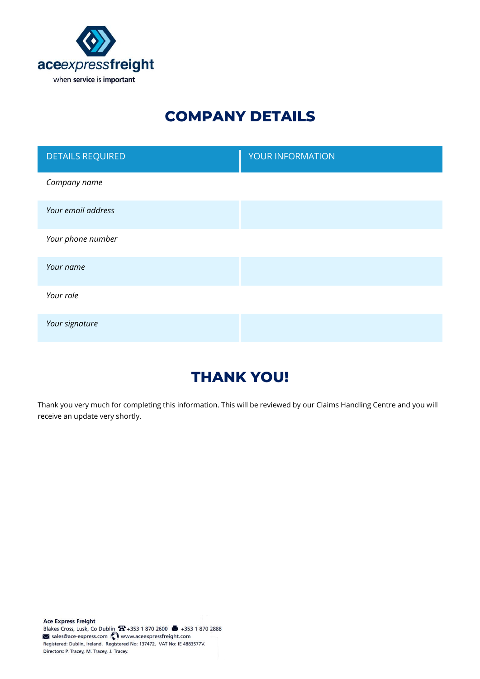

## **COMPANY DETAILS**

| <b>DETAILS REQUIRED</b> | YOUR INFORMATION |
|-------------------------|------------------|
| Company name            |                  |
| Your email address      |                  |
| Your phone number       |                  |
| Your name               |                  |
| Your role               |                  |
| Your signature          |                  |

### **THANK YOU!**

Thank you very much for completing this information. This will be reviewed by our Claims Handling Centre and you will receive an update very shortly.